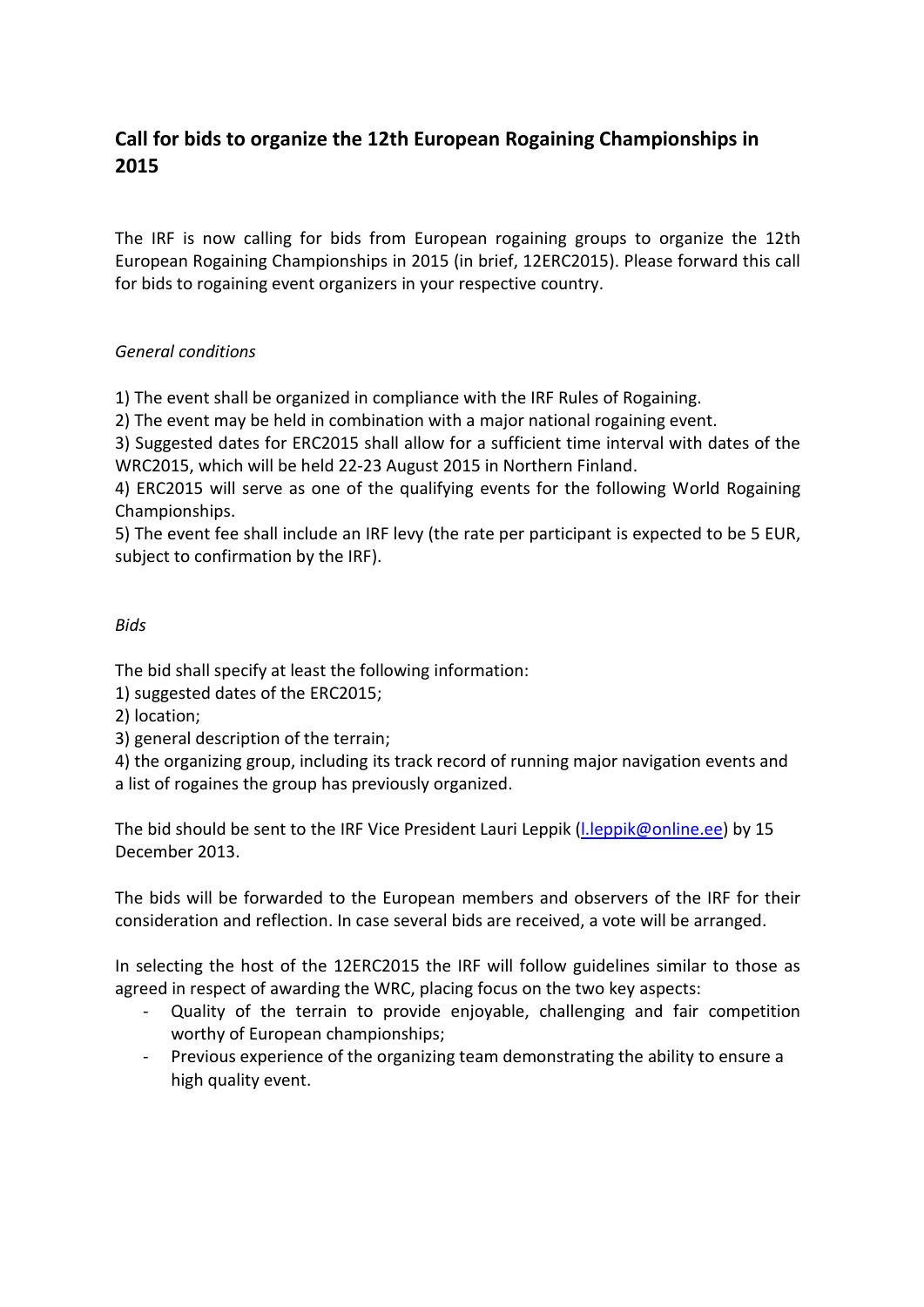## **Call for bids to organize the 12th European Rogaining Championships in 2015**

The IRF is now calling for bids from European rogaining groups to organize the 12th European Rogaining Championships in 2015 (in brief, 12ERC2015). Please forward this call for bids to rogaining event organizers in your respective country.

## *General conditions*

1) The event shall be organized in compliance with the IRF Rules of Rogaining.

2) The event may be held in combination with a major national rogaining event.

3) Suggested dates for ERC2015 shall allow for a sufficient time interval with dates of the WRC2015, which will be held 22-23 August 2015 in Northern Finland.

4) ERC2015 will serve as one of the qualifying events for the following World Rogaining Championships.

5) The event fee shall include an IRF levy (the rate per participant is expected to be 5 EUR, subject to confirmation by the IRF).

## *Bids*

The bid shall specify at least the following information:

1) suggested dates of the ERC2015;

- 2) location;
- 3) general description of the terrain;

4) the organizing group, including its track record of running major navigation events and a list of rogaines the group has previously organized.

The bid should be sent to the IRF Vice President Lauri Leppik (I.leppik@online.ee) by 15 December 2013.

The bids will be forwarded to the European members and observers of the IRF for their consideration and reflection. In case several bids are received, a vote will be arranged.

In selecting the host of the 12ERC2015 the IRF will follow guidelines similar to those as agreed in respect of awarding the WRC, placing focus on the two key aspects:

- Quality of the terrain to provide enjoyable, challenging and fair competition worthy of European championships;
- Previous experience of the organizing team demonstrating the ability to ensure a high quality event.